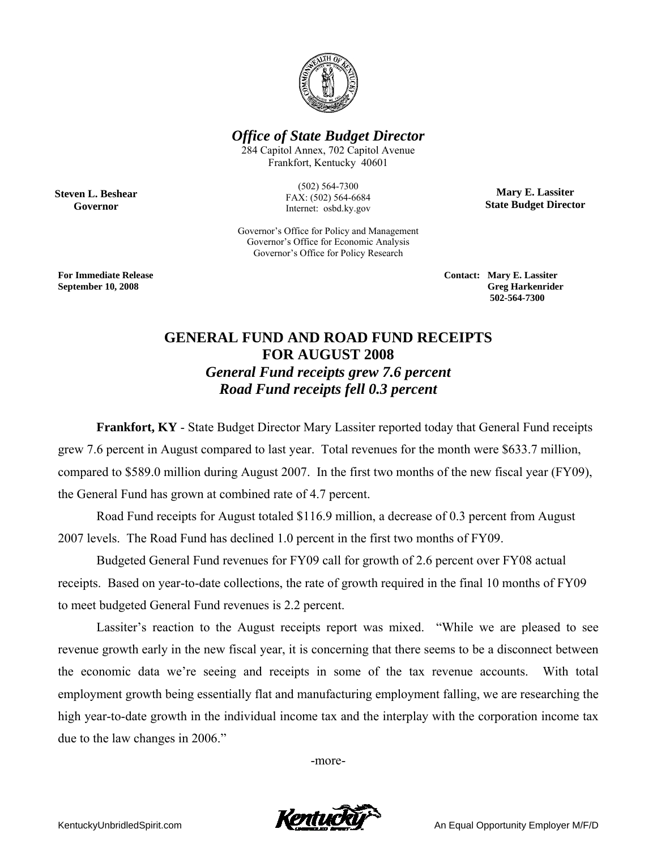

*Office of State Budget Director* 

284 Capitol Annex, 702 Capitol Avenue Frankfort, Kentucky 40601

> (502) 564-7300 FAX: (502) 564-6684 Internet: osbd.ky.gov

Governor's Office for Policy and Management Governor's Office for Economic Analysis Governor's Office for Policy Research

**Mary E. Lassiter State Budget Director** 

**Steven L. Beshear Governor** 

**For Immediate Release Contact: Mary E. Lassiter September 10, 2008 Greg Harkenrider 502-564-7300** 

## **GENERAL FUND AND ROAD FUND RECEIPTS FOR AUGUST 2008**  *General Fund receipts grew 7.6 percent Road Fund receipts fell 0.3 percent*

**Frankfort, KY** - State Budget Director Mary Lassiter reported today that General Fund receipts grew 7.6 percent in August compared to last year. Total revenues for the month were \$633.7 million, compared to \$589.0 million during August 2007. In the first two months of the new fiscal year (FY09), the General Fund has grown at combined rate of 4.7 percent.

Road Fund receipts for August totaled \$116.9 million, a decrease of 0.3 percent from August 2007 levels. The Road Fund has declined 1.0 percent in the first two months of FY09.

Budgeted General Fund revenues for FY09 call for growth of 2.6 percent over FY08 actual receipts. Based on year-to-date collections, the rate of growth required in the final 10 months of FY09 to meet budgeted General Fund revenues is 2.2 percent.

 Lassiter's reaction to the August receipts report was mixed. "While we are pleased to see revenue growth early in the new fiscal year, it is concerning that there seems to be a disconnect between the economic data we're seeing and receipts in some of the tax revenue accounts. With total employment growth being essentially flat and manufacturing employment falling, we are researching the high year-to-date growth in the individual income tax and the interplay with the corporation income tax due to the law changes in 2006."

-more-

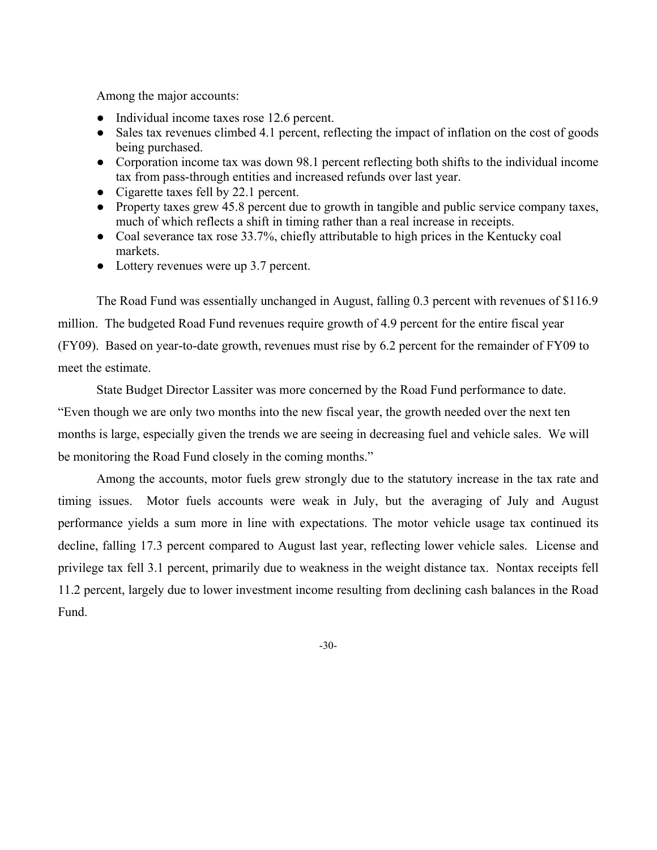Among the major accounts:

- Individual income taxes rose 12.6 percent.
- Sales tax revenues climbed 4.1 percent, reflecting the impact of inflation on the cost of goods being purchased.
- Corporation income tax was down 98.1 percent reflecting both shifts to the individual income tax from pass-through entities and increased refunds over last year.
- Cigarette taxes fell by 22.1 percent.
- Property taxes grew 45.8 percent due to growth in tangible and public service company taxes, much of which reflects a shift in timing rather than a real increase in receipts.
- Coal severance tax rose 33.7%, chiefly attributable to high prices in the Kentucky coal markets.
- Lottery revenues were up 3.7 percent.

The Road Fund was essentially unchanged in August, falling 0.3 percent with revenues of \$116.9 million. The budgeted Road Fund revenues require growth of 4.9 percent for the entire fiscal year (FY09). Based on year-to-date growth, revenues must rise by 6.2 percent for the remainder of FY09 to meet the estimate.

State Budget Director Lassiter was more concerned by the Road Fund performance to date. "Even though we are only two months into the new fiscal year, the growth needed over the next ten months is large, especially given the trends we are seeing in decreasing fuel and vehicle sales. We will be monitoring the Road Fund closely in the coming months."

Among the accounts, motor fuels grew strongly due to the statutory increase in the tax rate and timing issues. Motor fuels accounts were weak in July, but the averaging of July and August performance yields a sum more in line with expectations. The motor vehicle usage tax continued its decline, falling 17.3 percent compared to August last year, reflecting lower vehicle sales. License and privilege tax fell 3.1 percent, primarily due to weakness in the weight distance tax. Nontax receipts fell 11.2 percent, largely due to lower investment income resulting from declining cash balances in the Road Fund.

-30-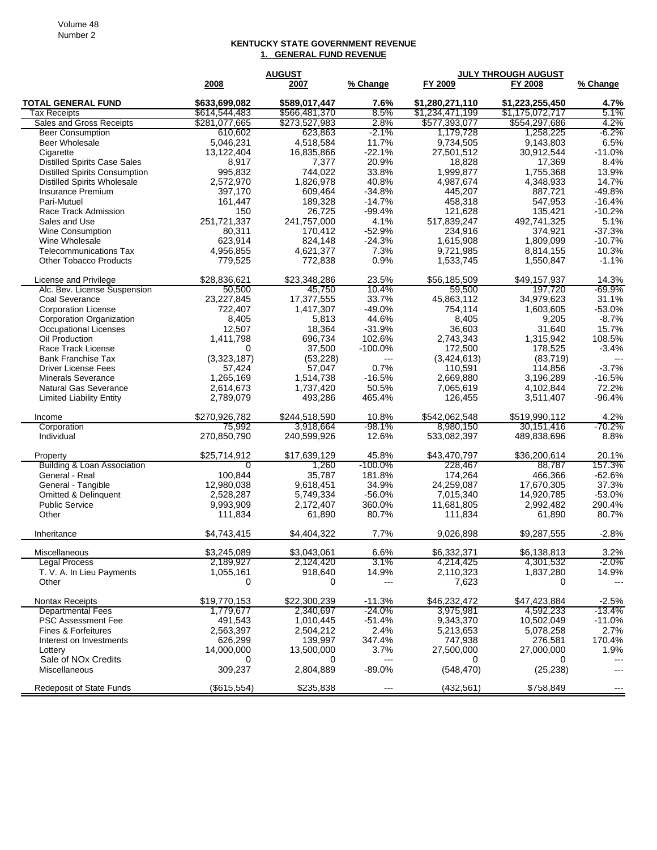## **KENTUCKY STATE GOVERNMENT REVENUE 1. GENERAL FUND REVENUE**

|                                         | <b>AUGUST</b>  |               |                          | JULY THROUGH AUGUST |                 |                      |  |
|-----------------------------------------|----------------|---------------|--------------------------|---------------------|-----------------|----------------------|--|
|                                         | 2008           | 2007          | % Change                 | FY 2009             | FY 2008         | % Change             |  |
| <b>TOTAL GENERAL FUND</b>               | \$633,699,082  | \$589,017,447 | 7.6%                     | \$1,280,271,110     | \$1,223,255,450 | 4.7%                 |  |
| Tax Receipts                            | \$614,544,483  | \$566,481,370 | 8.5%                     | \$1,234,471,199     | \$1,175,072,717 | 5.1%                 |  |
| Sales and Gross Receipts                | \$281,077,665  | \$273,527,983 | 2.8%                     | \$577,393,077       | \$554,297,686   | 4.2%                 |  |
| <b>Beer Consumption</b>                 | 610,602        | 623,863       | -2.1%                    | 1,179,728           | 1,258,225       | -6.2%                |  |
| <b>Beer Wholesale</b>                   | 5.046.231      | 4,518,584     | 11.7%                    | 9,734,505           | 9.143.803       | 6.5%                 |  |
| Cigarette                               | 13,122,404     | 16,835,866    | $-22.1%$                 | 27,501,512          | 30,912,544      | $-11.0%$             |  |
| <b>Distilled Spirits Case Sales</b>     | 8,917          | 7,377         | 20.9%                    | 18,828              | 17,369          | 8.4%                 |  |
| <b>Distilled Spirits Consumption</b>    | 995,832        | 744,022       | 33.8%                    | 1,999,877           | 1,755,368       | 13.9%                |  |
| <b>Distilled Spirits Wholesale</b>      | 2,572,970      | 1,826,978     | 40.8%                    | 4,987,674           | 4,348,933       | 14.7%                |  |
| Insurance Premium                       | 397,170        | 609,464       | $-34.8%$                 | 445,207             | 887,721         | $-49.8%$             |  |
| Pari-Mutuel                             | 161,447        | 189,328       | $-14.7%$                 | 458,318             | 547,953         | $-16.4%$             |  |
| Race Track Admission                    | 150            | 26,725        | $-99.4%$                 | 121,628             | 135,421         | $-10.2%$             |  |
| Sales and Use                           | 251,721,337    | 241,757,000   | 4.1%                     | 517,839,247         | 492,741,325     | 5.1%                 |  |
| <b>Wine Consumption</b>                 | 80,311         | 170,412       | $-52.9%$                 | 234,916             | 374,921         | $-37.3%$             |  |
| Wine Wholesale                          | 623,914        | 824,148       | $-24.3%$                 | 1,615,908           | 1,809,099       | $-10.7%$             |  |
| <b>Telecommunications Tax</b>           | 4,956,855      | 4,621,377     | 7.3%                     | 9,721,985           | 8,814,155       | 10.3%                |  |
| <b>Other Tobacco Products</b>           | 779,525        | 772,838       | 0.9%                     | 1,533,745           | 1,550,847       | $-1.1%$              |  |
| License and Privilege                   | \$28,836,621   | \$23.348.286  | 23.5%                    | \$56,185,509        | \$49.157.937    | 14.3%                |  |
| Alc. Bev. License Suspension            | 50,500         | 45,750        | 10.4%                    | 59,500              | 197,720         | -69.9%               |  |
| Coal Severance                          | 23,227,845     | 17,377,555    | 33.7%                    | 45,863,112          | 34,979,623      | 31.1%                |  |
| <b>Corporation License</b>              | 722.407        | 1,417,307     | $-49.0%$                 | 754,114             | 1,603,605       | $-53.0%$             |  |
| <b>Corporation Organization</b>         | 8,405          | 5,813         | 44.6%                    | 8,405               | 9,205           | $-8.7%$              |  |
| <b>Occupational Licenses</b>            | 12,507         | 18,364        | $-31.9%$                 | 36,603              | 31,640          | 15.7%                |  |
| Oil Production                          | 1,411,798      | 696,734       | 102.6%                   | 2,743,343           | 1,315,942       | 108.5%               |  |
| Race Track License                      | 0              | 37,500        | $-100.0\%$               | 172,500             | 178,525         | $-3.4%$              |  |
| <b>Bank Franchise Tax</b>               | (3,323,187)    | (53, 228)     | $\overline{a}$           | (3,424,613)         | (83, 719)       |                      |  |
| <b>Driver License Fees</b>              | 57,424         | 57,047        | 0.7%                     | 110,591             | 114,856         | $-3.7%$              |  |
| <b>Minerals Severance</b>               | 1,265,169      | 1,514,738     | $-16.5%$                 | 2.669.880           | 3,196,289       | $-16.5%$             |  |
| <b>Natural Gas Severance</b>            | 2,614,673      | 1,737,420     | 50.5%                    | 7,065,619           | 4,102,844       | 72.2%                |  |
| <b>Limited Liability Entity</b>         | 2,789,079      | 493,286       | 465.4%                   | 126,455             | 3,511,407       | $-96.4%$             |  |
| Income                                  | \$270,926,782  | \$244,518,590 | 10.8%                    | \$542,062,548       | \$519,990,112   | 4.2%                 |  |
| Corporation                             | 75,992         | 3,918,664     | $-98.1%$                 | 8,980,150           | 30,151,416      | -70.2%               |  |
| Individual                              | 270,850,790    | 240,599,926   | 12.6%                    | 533,082,397         | 489,838,696     | 8.8%                 |  |
|                                         | \$25,714,912   | \$17,639,129  | 45.8%                    | \$43,470,797        | \$36,200,614    | 20.1%                |  |
| Property<br>Building & Loan Association | $\overline{0}$ | 1,260         | $-100.0\%$               | 228,467             | 88,787          | 157.3%               |  |
| General - Real                          | 100,844        | 35,787        | 181.8%                   | 174,264             | 466,366         | $-62.6%$             |  |
| General - Tangible                      | 12,980,038     | 9,618,451     | 34.9%                    | 24,259,087          | 17,670,305      | 37.3%                |  |
| <b>Omitted &amp; Delinquent</b>         | 2,528,287      | 5,749,334     | $-56.0%$                 | 7,015,340           | 14,920,785      | $-53.0%$             |  |
| <b>Public Service</b>                   | 9,993,909      | 2,172,407     | 360.0%                   | 11,681,805          | 2,992,482       | 290.4%               |  |
| Other                                   | 111,834        | 61,890        | 80.7%                    | 111,834             | 61,890          | 80.7%                |  |
|                                         |                |               |                          |                     |                 |                      |  |
| Inheritance                             | \$4,743,415    | \$4,404,322   | 7.7%                     | 9,026,898           | \$9,287,555     | $-2.8%$              |  |
| Miscellaneous                           | \$3,245,089    | \$3,043,061   | 6.6%                     | \$6,332,371         | \$6,138,813     | 3.2%                 |  |
| <b>Legal Process</b>                    | 2,189,927      | 2,124,420     | 3.1%                     | 4,214,425           | 4,301,532       | $-2.0\%$             |  |
| T. V. A. In Lieu Payments               | 1,055,161      | 918,640       | 14.9%                    | 2,110,323           | 1,837,280       | 14.9%                |  |
| Other                                   | 0              | 0             | ---                      | 7,623               | 0               | $---$                |  |
| Nontax Receipts                         | \$19,770,153   | \$22,300,239  | $-11.3%$                 | \$46,232,472        | \$47,423,884    | $-2.5%$              |  |
| <b>Departmental Fees</b>                | 1,779,677      | 2,340,697     | $-24.0\%$                | 3,975,981           | 4,592,233       | $-13.4\%$            |  |
| <b>PSC Assessment Fee</b>               | 491.543        | 1,010,445     | $-51.4%$                 | 9,343,370           | 10,502,049      | $-11.0%$             |  |
| Fines & Forfeitures                     | 2,563,397      | 2,504,212     | 2.4%                     | 5,213,653           | 5,078,258       | 2.7%                 |  |
| Interest on Investments                 | 626.299        | 139,997       | 347.4%                   | 747,938             | 276,581         | 170.4%               |  |
| Lottery                                 | 14,000,000     | 13,500,000    | 3.7%                     | 27,500,000          | 27,000,000      | 1.9%                 |  |
| Sale of NO <sub>x</sub> Credits         | 0              | $\Omega$      | $\scriptstyle\cdots$     | $\Omega$            | 0               | $\scriptstyle\cdots$ |  |
| Miscellaneous                           | 309,237        | 2,804,889     | $-89.0%$                 | (548, 470)          | (25, 238)       | ---                  |  |
| Redeposit of State Funds                | ( \$615,554)   | \$235,838     | $\hspace{0.05cm} \ldots$ | (432, 561)          | \$758,849       | $---$                |  |